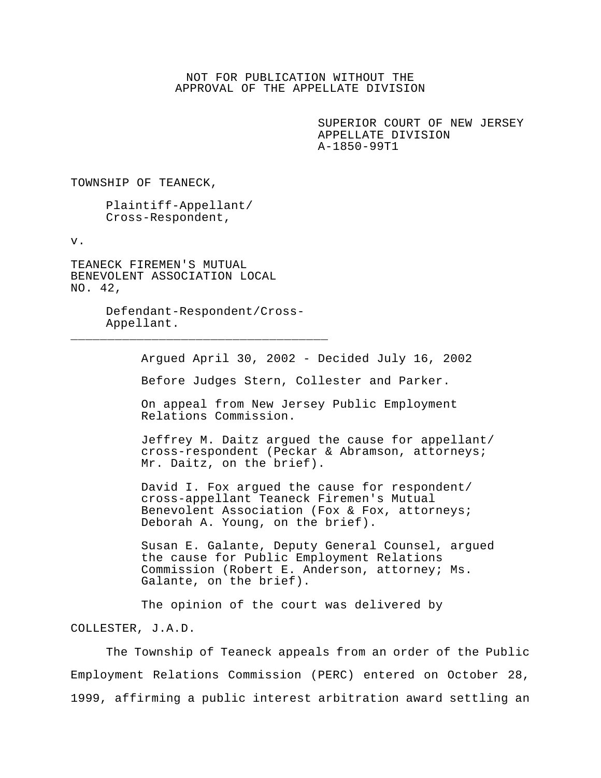## NOT FOR PUBLICATION WITHOUT THE APPROVAL OF THE APPELLATE DIVISION

SUPERIOR COURT OF NEW JERSEY APPELLATE DIVISION A-1850-99T1

TOWNSHIP OF TEANECK,

Plaintiff-Appellant/ Cross-Respondent,

v.

TEANECK FIREMEN'S MUTUAL BENEVOLENT ASSOCIATION LOCAL NO. 42,

> Defendant-Respondent/Cross-Appellant.

\_\_\_\_\_\_\_\_\_\_\_\_\_\_\_\_\_\_\_\_\_\_\_\_\_\_\_\_\_\_\_\_\_\_\_

Argued April 30, 2002 - Decided July 16, 2002

Before Judges Stern, Collester and Parker.

On appeal from New Jersey Public Employment Relations Commission.

Jeffrey M. Daitz argued the cause for appellant/ cross-respondent (Peckar & Abramson, attorneys; Mr. Daitz, on the brief).

David I. Fox argued the cause for respondent/ cross-appellant Teaneck Firemen's Mutual Benevolent Association (Fox & Fox, attorneys; Deborah A. Young, on the brief).

Susan E. Galante, Deputy General Counsel, argued the cause for Public Employment Relations Commission (Robert E. Anderson, attorney; Ms. Galante, on the brief).

The opinion of the court was delivered by COLLESTER, J.A.D.

The Township of Teaneck appeals from an order of the Public Employment Relations Commission (PERC) entered on October 28, 1999, affirming a public interest arbitration award settling an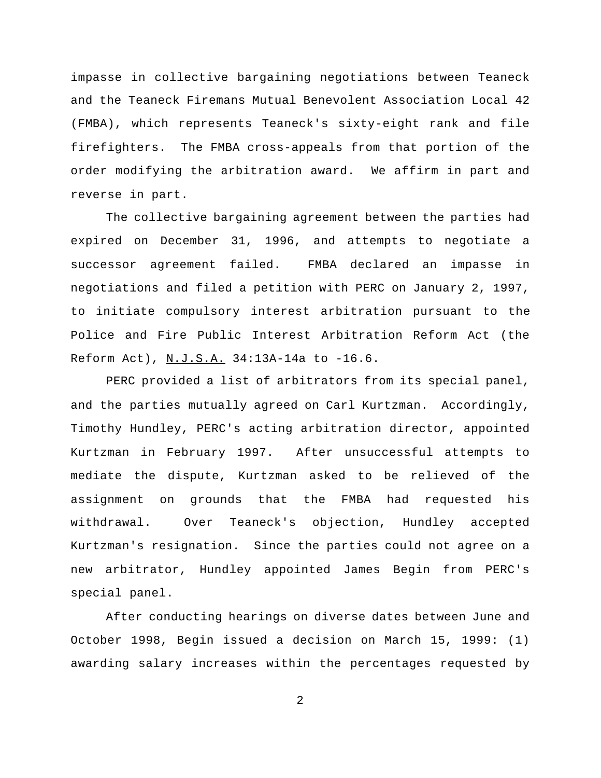impasse in collective bargaining negotiations between Teaneck and the Teaneck Firemans Mutual Benevolent Association Local 42 (FMBA), which represents Teaneck's sixty-eight rank and file firefighters. The FMBA cross-appeals from that portion of the order modifying the arbitration award. We affirm in part and reverse in part.

The collective bargaining agreement between the parties had expired on December 31, 1996, and attempts to negotiate a successor agreement failed. FMBA declared an impasse in negotiations and filed a petition with PERC on January 2, 1997, to initiate compulsory interest arbitration pursuant to the Police and Fire Public Interest Arbitration Reform Act (the Reform Act), N.J.S.A. 34:13A-14a to -16.6.

PERC provided a list of arbitrators from its special panel, and the parties mutually agreed on Carl Kurtzman. Accordingly, Timothy Hundley, PERC's acting arbitration director, appointed Kurtzman in February 1997. After unsuccessful attempts to mediate the dispute, Kurtzman asked to be relieved of the assignment on grounds that the FMBA had requested his withdrawal. Over Teaneck's objection, Hundley accepted Kurtzman's resignation. Since the parties could not agree on a new arbitrator, Hundley appointed James Begin from PERC's special panel.

After conducting hearings on diverse dates between June and October 1998, Begin issued a decision on March 15, 1999: (1) awarding salary increases within the percentages requested by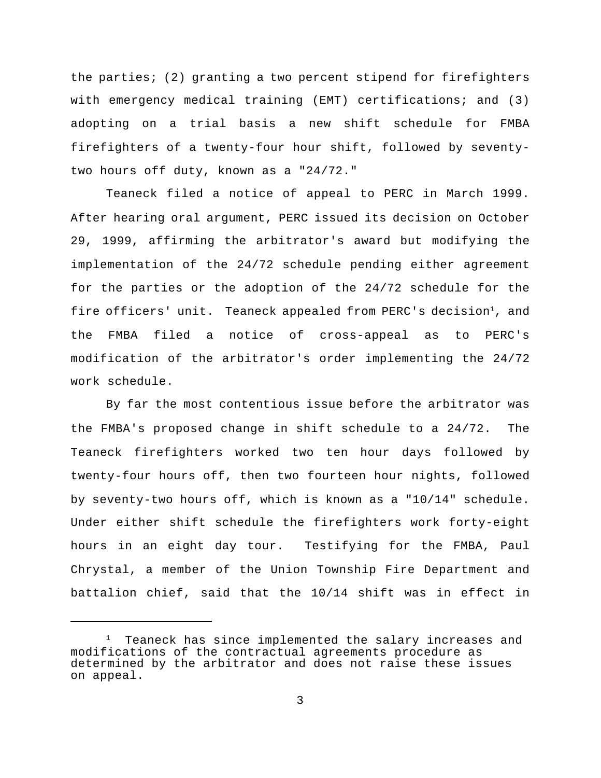the parties; (2) granting a two percent stipend for firefighters with emergency medical training (EMT) certifications; and (3) adopting on a trial basis a new shift schedule for FMBA firefighters of a twenty-four hour shift, followed by seventytwo hours off duty, known as a "24/72."

Teaneck filed a notice of appeal to PERC in March 1999. After hearing oral argument, PERC issued its decision on October 29, 1999, affirming the arbitrator's award but modifying the implementation of the 24/72 schedule pending either agreement for the parties or the adoption of the 24/72 schedule for the fire officers' unit. Teaneck appealed from PERC's decision<sup>1</sup>, and the FMBA filed a notice of cross-appeal as to PERC's modification of the arbitrator's order implementing the 24/72 work schedule.

By far the most contentious issue before the arbitrator was the FMBA's proposed change in shift schedule to a 24/72. The Teaneck firefighters worked two ten hour days followed by twenty-four hours off, then two fourteen hour nights, followed by seventy-two hours off, which is known as a "10/14" schedule. Under either shift schedule the firefighters work forty-eight hours in an eight day tour. Testifying for the FMBA, Paul Chrystal, a member of the Union Township Fire Department and battalion chief, said that the 10/14 shift was in effect in

<sup>&</sup>lt;sup>1</sup> Teaneck has since implemented the salary increases and modifications of the contractual agreements procedure as determined by the arbitrator and does not raise these issues on appeal.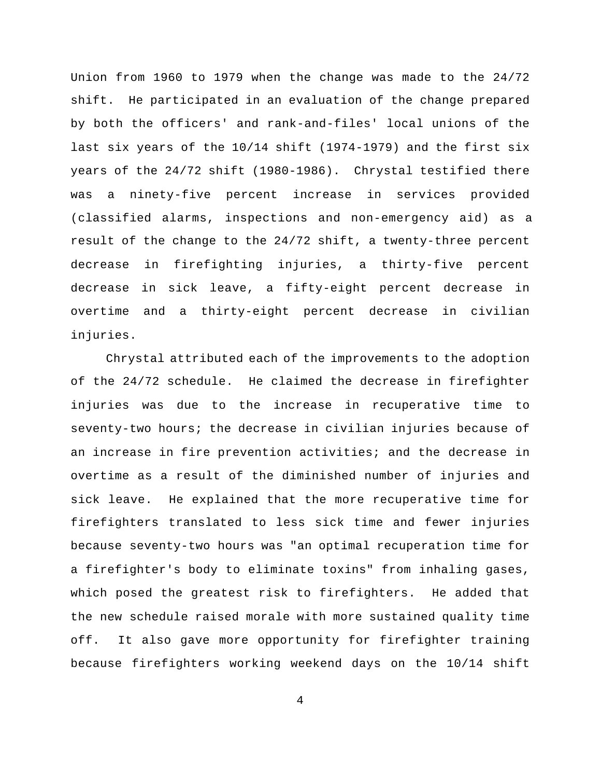Union from 1960 to 1979 when the change was made to the 24/72 shift. He participated in an evaluation of the change prepared by both the officers' and rank-and-files' local unions of the last six years of the 10/14 shift (1974-1979) and the first six years of the 24/72 shift (1980-1986). Chrystal testified there was a ninety-five percent increase in services provided (classified alarms, inspections and non-emergency aid) as a result of the change to the 24/72 shift, a twenty-three percent decrease in firefighting injuries, a thirty-five percent decrease in sick leave, a fifty-eight percent decrease in overtime and a thirty-eight percent decrease in civilian injuries.

Chrystal attributed each of the improvements to the adoption of the 24/72 schedule. He claimed the decrease in firefighter injuries was due to the increase in recuperative time to seventy-two hours; the decrease in civilian injuries because of an increase in fire prevention activities; and the decrease in overtime as a result of the diminished number of injuries and sick leave. He explained that the more recuperative time for firefighters translated to less sick time and fewer injuries because seventy-two hours was "an optimal recuperation time for a firefighter's body to eliminate toxins" from inhaling gases, which posed the greatest risk to firefighters. He added that the new schedule raised morale with more sustained quality time off. It also gave more opportunity for firefighter training because firefighters working weekend days on the 10/14 shift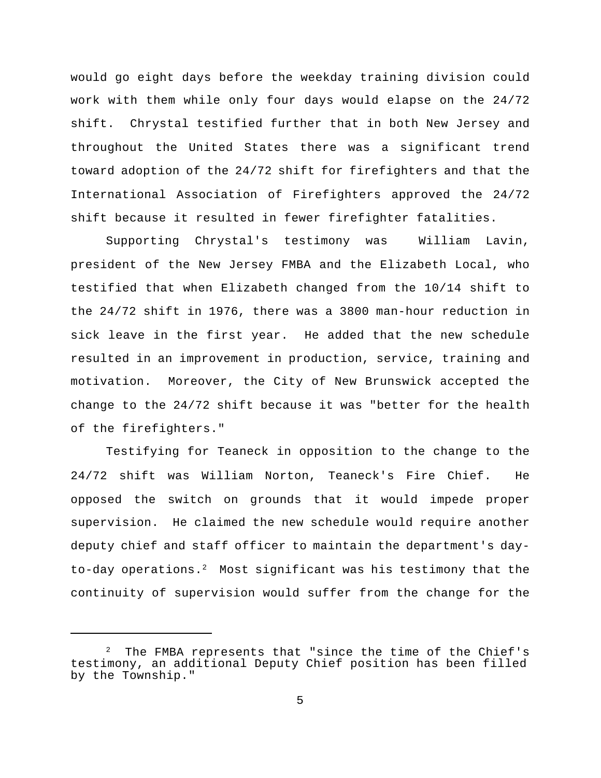would go eight days before the weekday training division could work with them while only four days would elapse on the 24/72 shift. Chrystal testified further that in both New Jersey and throughout the United States there was a significant trend toward adoption of the 24/72 shift for firefighters and that the International Association of Firefighters approved the 24/72 shift because it resulted in fewer firefighter fatalities.

Supporting Chrystal's testimony was William Lavin, president of the New Jersey FMBA and the Elizabeth Local, who testified that when Elizabeth changed from the 10/14 shift to the 24/72 shift in 1976, there was a 3800 man-hour reduction in sick leave in the first year. He added that the new schedule resulted in an improvement in production, service, training and motivation. Moreover, the City of New Brunswick accepted the change to the 24/72 shift because it was "better for the health of the firefighters."

Testifying for Teaneck in opposition to the change to the 24/72 shift was William Norton, Teaneck's Fire Chief. He opposed the switch on grounds that it would impede proper supervision. He claimed the new schedule would require another deputy chief and staff officer to maintain the department's dayto-day operations.<sup>2</sup> Most significant was his testimony that the continuity of supervision would suffer from the change for the

 $2$  The FMBA represents that "since the time of the Chief's testimony, an additional Deputy Chief position has been filled by the Township."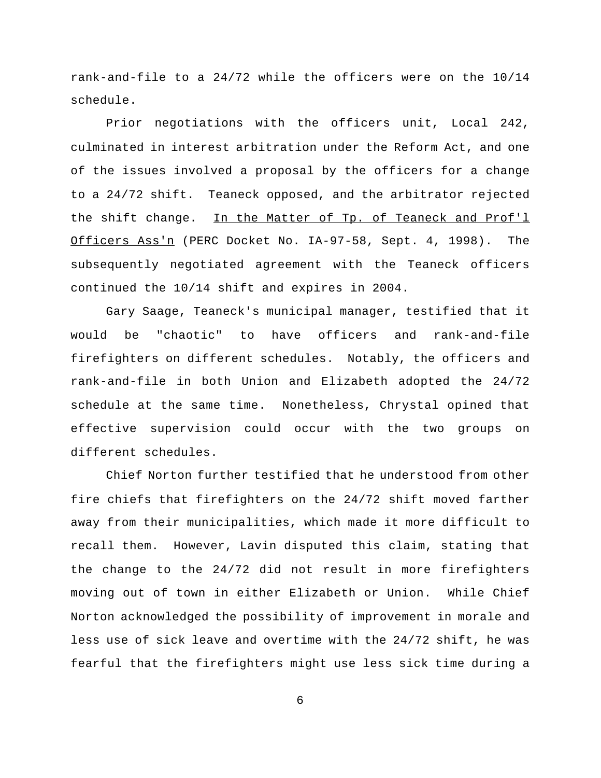rank-and-file to a 24/72 while the officers were on the 10/14 schedule.

Prior negotiations with the officers unit, Local 242, culminated in interest arbitration under the Reform Act, and one of the issues involved a proposal by the officers for a change to a 24/72 shift. Teaneck opposed, and the arbitrator rejected the shift change. In the Matter of Tp. of Teaneck and Prof'l Officers Ass'n (PERC Docket No. IA-97-58, Sept. 4, 1998). The subsequently negotiated agreement with the Teaneck officers continued the 10/14 shift and expires in 2004.

Gary Saage, Teaneck's municipal manager, testified that it would be "chaotic" to have officers and rank-and-file firefighters on different schedules. Notably, the officers and rank-and-file in both Union and Elizabeth adopted the 24/72 schedule at the same time. Nonetheless, Chrystal opined that effective supervision could occur with the two groups on different schedules.

Chief Norton further testified that he understood from other fire chiefs that firefighters on the 24/72 shift moved farther away from their municipalities, which made it more difficult to recall them. However, Lavin disputed this claim, stating that the change to the 24/72 did not result in more firefighters moving out of town in either Elizabeth or Union. While Chief Norton acknowledged the possibility of improvement in morale and less use of sick leave and overtime with the 24/72 shift, he was fearful that the firefighters might use less sick time during a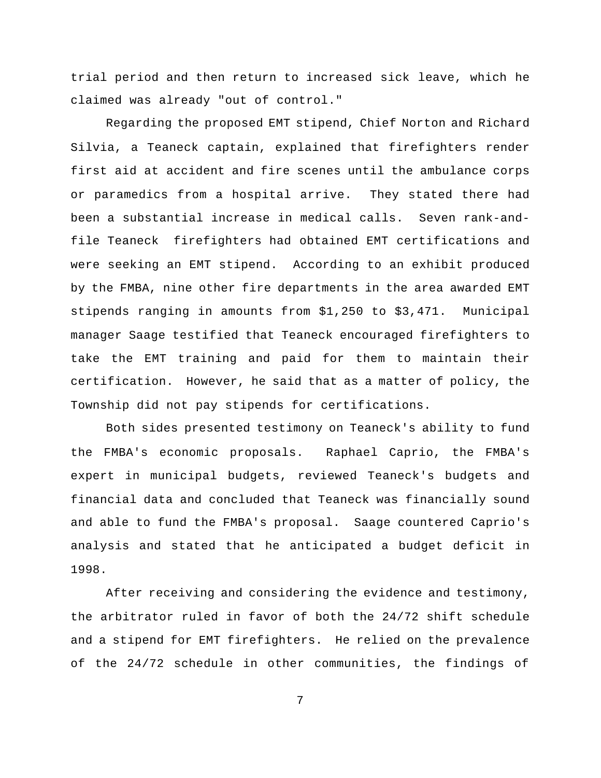trial period and then return to increased sick leave, which he claimed was already "out of control."

Regarding the proposed EMT stipend, Chief Norton and Richard Silvia, a Teaneck captain, explained that firefighters render first aid at accident and fire scenes until the ambulance corps or paramedics from a hospital arrive. They stated there had been a substantial increase in medical calls. Seven rank-andfile Teaneck firefighters had obtained EMT certifications and were seeking an EMT stipend. According to an exhibit produced by the FMBA, nine other fire departments in the area awarded EMT stipends ranging in amounts from \$1,250 to \$3,471. Municipal manager Saage testified that Teaneck encouraged firefighters to take the EMT training and paid for them to maintain their certification. However, he said that as a matter of policy, the Township did not pay stipends for certifications.

Both sides presented testimony on Teaneck's ability to fund the FMBA's economic proposals. Raphael Caprio, the FMBA's expert in municipal budgets, reviewed Teaneck's budgets and financial data and concluded that Teaneck was financially sound and able to fund the FMBA's proposal. Saage countered Caprio's analysis and stated that he anticipated a budget deficit in 1998.

After receiving and considering the evidence and testimony, the arbitrator ruled in favor of both the 24/72 shift schedule and a stipend for EMT firefighters. He relied on the prevalence of the 24/72 schedule in other communities, the findings of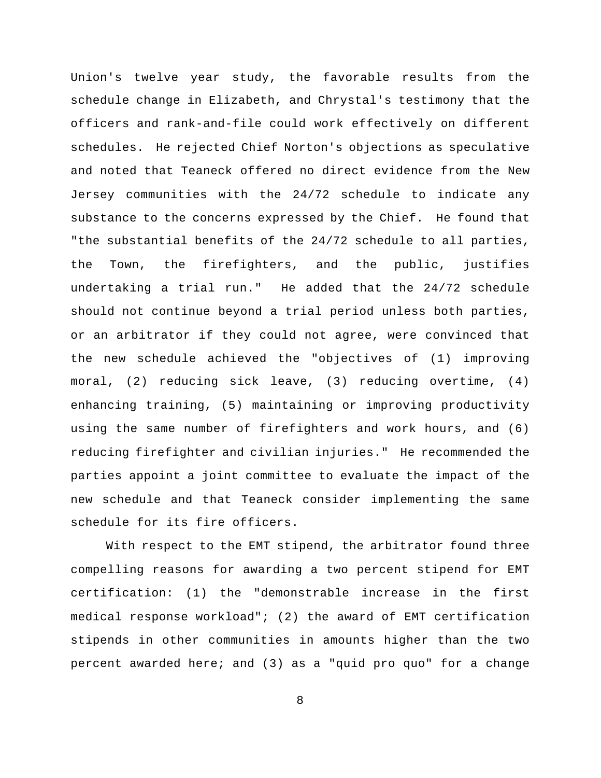Union's twelve year study, the favorable results from the schedule change in Elizabeth, and Chrystal's testimony that the officers and rank-and-file could work effectively on different schedules. He rejected Chief Norton's objections as speculative and noted that Teaneck offered no direct evidence from the New Jersey communities with the 24/72 schedule to indicate any substance to the concerns expressed by the Chief. He found that "the substantial benefits of the 24/72 schedule to all parties, the Town, the firefighters, and the public, justifies undertaking a trial run." He added that the 24/72 schedule should not continue beyond a trial period unless both parties, or an arbitrator if they could not agree, were convinced that the new schedule achieved the "objectives of (1) improving moral, (2) reducing sick leave, (3) reducing overtime, (4) enhancing training, (5) maintaining or improving productivity using the same number of firefighters and work hours, and (6) reducing firefighter and civilian injuries." He recommended the parties appoint a joint committee to evaluate the impact of the new schedule and that Teaneck consider implementing the same schedule for its fire officers.

With respect to the EMT stipend, the arbitrator found three compelling reasons for awarding a two percent stipend for EMT certification: (1) the "demonstrable increase in the first medical response workload"; (2) the award of EMT certification stipends in other communities in amounts higher than the two percent awarded here; and (3) as a "quid pro quo" for a change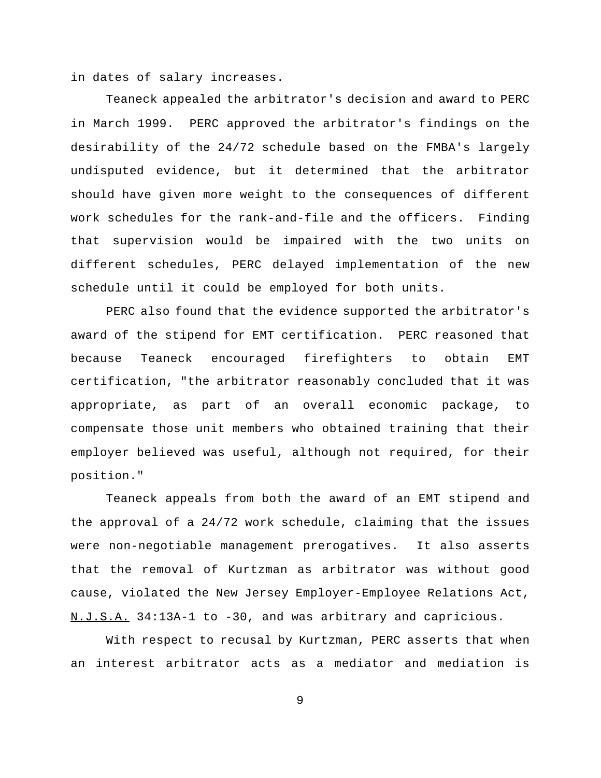in dates of salary increases.

Teaneck appealed the arbitrator's decision and award to PERC in March 1999. PERC approved the arbitrator's findings on the desirability of the 24/72 schedule based on the FMBA's largely undisputed evidence, but it determined that the arbitrator should have given more weight to the consequences of different work schedules for the rank-and-file and the officers. Finding that supervision would be impaired with the two units on different schedules, PERC delayed implementation of the new schedule until it could be employed for both units.

PERC also found that the evidence supported the arbitrator's award of the stipend for EMT certification. PERC reasoned that because Teaneck encouraged firefighters to obtain EMT certification, "the arbitrator reasonably concluded that it was appropriate, as part of an overall economic package, to compensate those unit members who obtained training that their employer believed was useful, although not required, for their position."

Teaneck appeals from both the award of an EMT stipend and the approval of a 24/72 work schedule, claiming that the issues were non-negotiable management prerogatives. It also asserts that the removal of Kurtzman as arbitrator was without good cause, violated the New Jersey Employer-Employee Relations Act, N.J.S.A. 34:13A-1 to -30, and was arbitrary and capricious.

With respect to recusal by Kurtzman, PERC asserts that when an interest arbitrator acts as a mediator and mediation is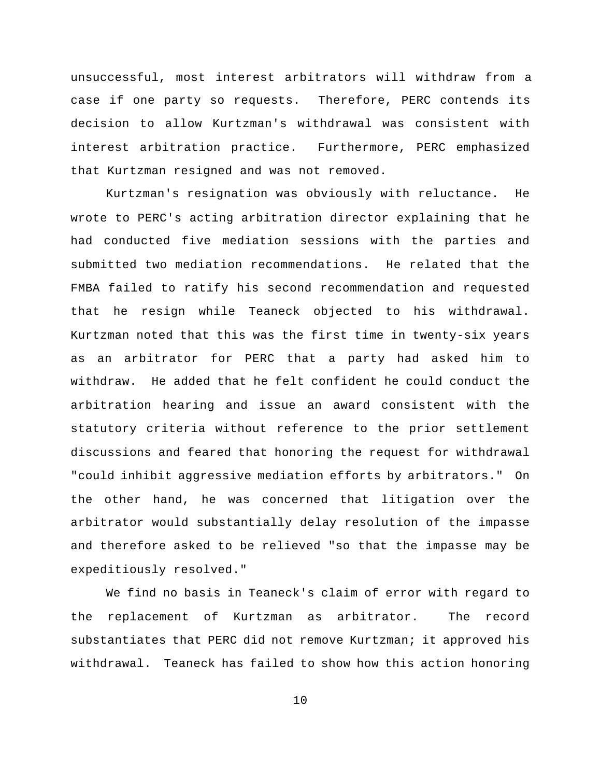unsuccessful, most interest arbitrators will withdraw from a case if one party so requests. Therefore, PERC contends its decision to allow Kurtzman's withdrawal was consistent with interest arbitration practice. Furthermore, PERC emphasized that Kurtzman resigned and was not removed.

Kurtzman's resignation was obviously with reluctance. He wrote to PERC's acting arbitration director explaining that he had conducted five mediation sessions with the parties and submitted two mediation recommendations. He related that the FMBA failed to ratify his second recommendation and requested that he resign while Teaneck objected to his withdrawal. Kurtzman noted that this was the first time in twenty-six years as an arbitrator for PERC that a party had asked him to withdraw. He added that he felt confident he could conduct the arbitration hearing and issue an award consistent with the statutory criteria without reference to the prior settlement discussions and feared that honoring the request for withdrawal "could inhibit aggressive mediation efforts by arbitrators." On the other hand, he was concerned that litigation over the arbitrator would substantially delay resolution of the impasse and therefore asked to be relieved "so that the impasse may be expeditiously resolved."

We find no basis in Teaneck's claim of error with regard to the replacement of Kurtzman as arbitrator. The record substantiates that PERC did not remove Kurtzman; it approved his withdrawal. Teaneck has failed to show how this action honoring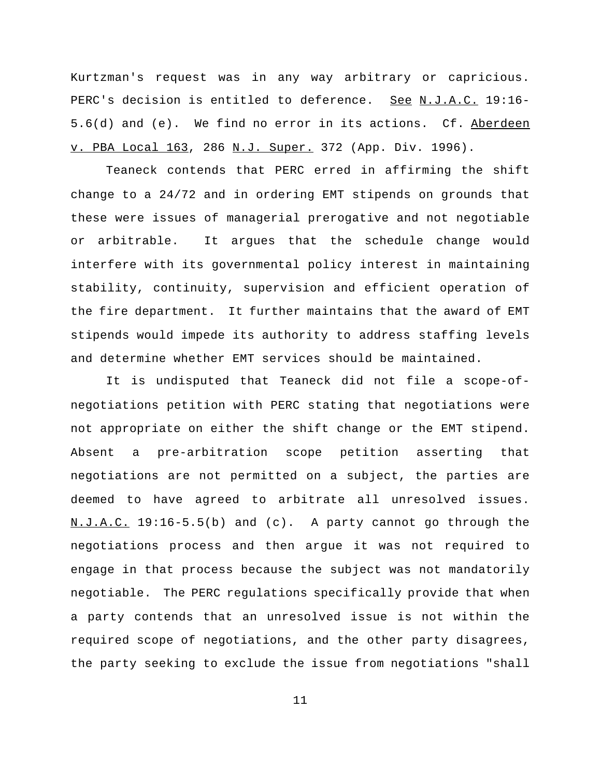Kurtzman's request was in any way arbitrary or capricious. PERC's decision is entitled to deference. See N.J.A.C. 19:16-5.6(d) and (e). We find no error in its actions. Cf. Aberdeen v. PBA Local 163, 286 N.J. Super. 372 (App. Div. 1996).

Teaneck contends that PERC erred in affirming the shift change to a 24/72 and in ordering EMT stipends on grounds that these were issues of managerial prerogative and not negotiable or arbitrable. It argues that the schedule change would interfere with its governmental policy interest in maintaining stability, continuity, supervision and efficient operation of the fire department. It further maintains that the award of EMT stipends would impede its authority to address staffing levels and determine whether EMT services should be maintained.

It is undisputed that Teaneck did not file a scope-ofnegotiations petition with PERC stating that negotiations were not appropriate on either the shift change or the EMT stipend. Absent a pre-arbitration scope petition asserting that negotiations are not permitted on a subject, the parties are deemed to have agreed to arbitrate all unresolved issues. N.J.A.C. 19:16-5.5(b) and (c). A party cannot go through the negotiations process and then argue it was not required to engage in that process because the subject was not mandatorily negotiable. The PERC regulations specifically provide that when a party contends that an unresolved issue is not within the required scope of negotiations, and the other party disagrees, the party seeking to exclude the issue from negotiations "shall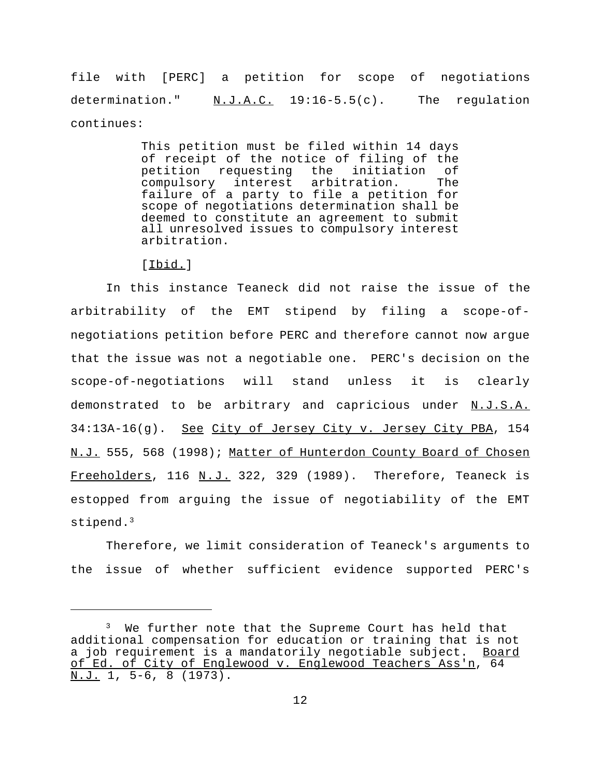file with [PERC] a petition for scope of negotiations determination." N.J.A.C. 19:16-5.5(c). The regulation continues:

> This petition must be filed within 14 days of receipt of the notice of filing of the<br>petition requesting the initiation of petition requesting the initiation of compulsory interest arbitration. failure of a party to file a petition for scope of negotiations determination shall be deemed to constitute an agreement to submit all unresolved issues to compulsory interest arbitration.

[Ibid.]

In this instance Teaneck did not raise the issue of the arbitrability of the EMT stipend by filing a scope-ofnegotiations petition before PERC and therefore cannot now argue that the issue was not a negotiable one. PERC's decision on the scope-of-negotiations will stand unless it is clearly demonstrated to be arbitrary and capricious under N.J.S.A. 34:13A-16(g). See City of Jersey City v. Jersey City PBA, 154 N.J. 555, 568 (1998); Matter of Hunterdon County Board of Chosen Freeholders, 116 N.J. 322, 329 (1989). Therefore, Teaneck is estopped from arguing the issue of negotiability of the EMT stipend.<sup>3</sup>

Therefore, we limit consideration of Teaneck's arguments to the issue of whether sufficient evidence supported PERC's

<sup>&</sup>lt;sup>3</sup> We further note that the Supreme Court has held that additional compensation for education or training that is not a job requirement is a mandatorily negotiable subject. Board of Ed. of City of Englewood v. Englewood Teachers Ass'n, 64 N.J. 1, 5-6, 8 (1973).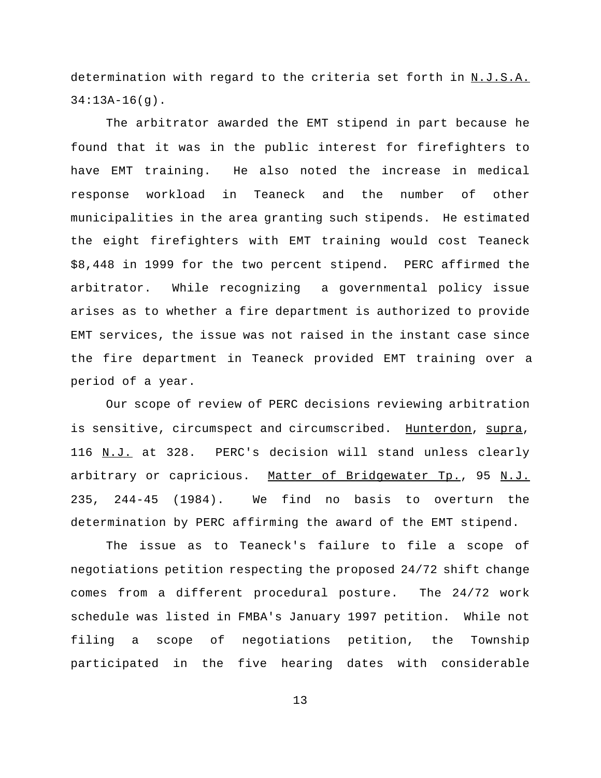determination with regard to the criteria set forth in N.J.S.A.  $34:13A-16(q)$ .

The arbitrator awarded the EMT stipend in part because he found that it was in the public interest for firefighters to have EMT training. He also noted the increase in medical response workload in Teaneck and the number of other municipalities in the area granting such stipends. He estimated the eight firefighters with EMT training would cost Teaneck \$8,448 in 1999 for the two percent stipend. PERC affirmed the arbitrator. While recognizing a governmental policy issue arises as to whether a fire department is authorized to provide EMT services, the issue was not raised in the instant case since the fire department in Teaneck provided EMT training over a period of a year.

Our scope of review of PERC decisions reviewing arbitration is sensitive, circumspect and circumscribed. Hunterdon, supra, 116 N.J. at 328. PERC's decision will stand unless clearly arbitrary or capricious. Matter of Bridgewater Tp., 95 N.J. 235, 244-45 (1984). We find no basis to overturn the determination by PERC affirming the award of the EMT stipend.

The issue as to Teaneck's failure to file a scope of negotiations petition respecting the proposed 24/72 shift change comes from a different procedural posture. The 24/72 work schedule was listed in FMBA's January 1997 petition. While not filing a scope of negotiations petition, the Township participated in the five hearing dates with considerable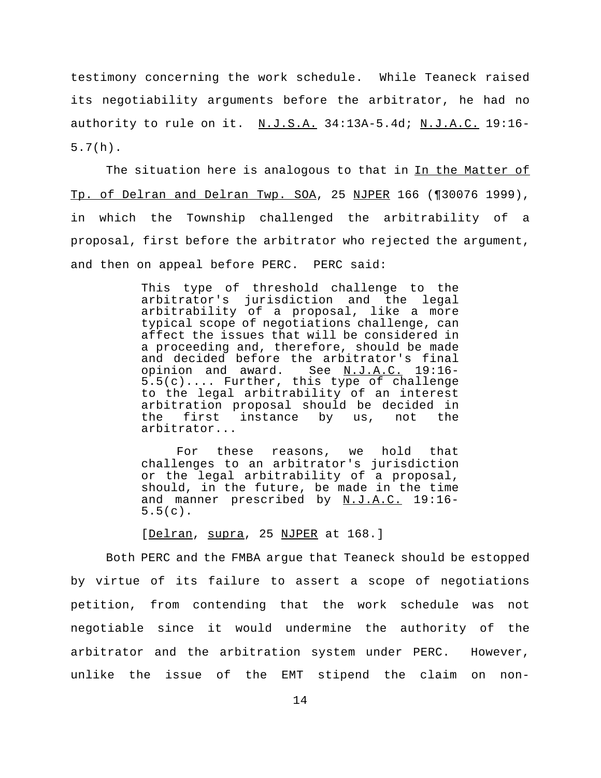testimony concerning the work schedule. While Teaneck raised its negotiability arguments before the arbitrator, he had no authority to rule on it. N.J.S.A. 34:13A-5.4d; N.J.A.C. 19:16-5.7(h).

The situation here is analogous to that in In the Matter of Tp. of Delran and Delran Twp. SOA, 25 NJPER 166 (¶30076 1999), in which the Township challenged the arbitrability of a proposal, first before the arbitrator who rejected the argument, and then on appeal before PERC. PERC said:

> This type of threshold challenge to the arbitrator's jurisdiction and the legal arbitrability of a proposal, like a more typical scope of negotiations challenge, can affect the issues that will be considered in a proceeding and, therefore, should be made and decided before the arbitrator's final opinion and award. See N.J.A.C. 19:16- 5.5(c).... Further, this type of challenge to the legal arbitrability of an interest arbitration proposal should be decided in the first instance by us, not the arbitrator...

> For these reasons, we hold that challenges to an arbitrator's jurisdiction or the legal arbitrability of a proposal, should, in the future, be made in the time and manner prescribed by N.J.A.C. 19:16-5.5(c).

[Delran, supra, 25 NJPER at 168.]

Both PERC and the FMBA argue that Teaneck should be estopped by virtue of its failure to assert a scope of negotiations petition, from contending that the work schedule was not negotiable since it would undermine the authority of the arbitrator and the arbitration system under PERC. However, unlike the issue of the EMT stipend the claim on non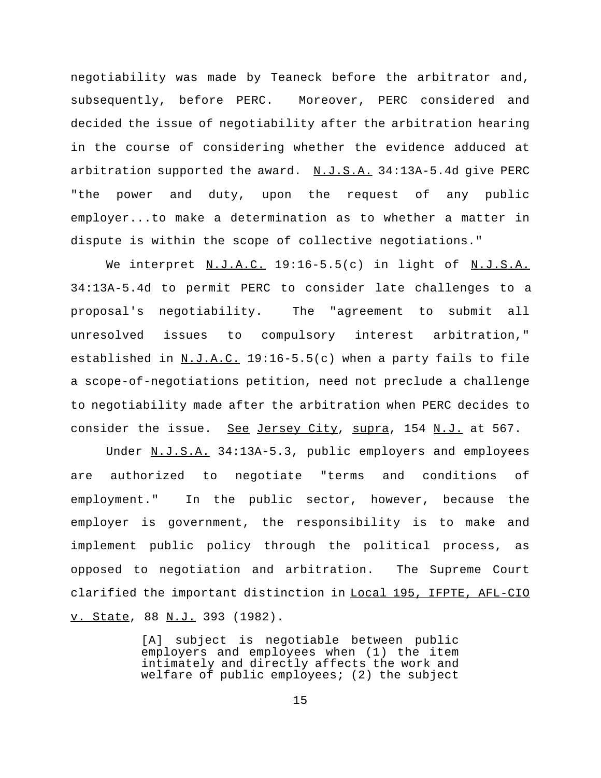negotiability was made by Teaneck before the arbitrator and, subsequently, before PERC. Moreover, PERC considered and decided the issue of negotiability after the arbitration hearing in the course of considering whether the evidence adduced at arbitration supported the award.  $N.J.S.A.$  34:13A-5.4d give PERC "the power and duty, upon the request of any public employer...to make a determination as to whether a matter in dispute is within the scope of collective negotiations."

We interpret N.J.A.C. 19:16-5.5(c) in light of N.J.S.A. 34:13A-5.4d to permit PERC to consider late challenges to a proposal's negotiability. The "agreement to submit all unresolved issues to compulsory interest arbitration," established in  $N.J.A.C.$  19:16-5.5(c) when a party fails to file a scope-of-negotiations petition, need not preclude a challenge to negotiability made after the arbitration when PERC decides to consider the issue. See Jersey City, supra, 154 N.J. at 567.

Under N.J.S.A. 34:13A-5.3, public employers and employees are authorized to negotiate "terms and conditions of employment." In the public sector, however, because the employer is government, the responsibility is to make and implement public policy through the political process, as opposed to negotiation and arbitration. The Supreme Court clarified the important distinction in Local 195, IFPTE, AFL-CIO v. State, 88 N.J. 393 (1982).

> [A] subject is negotiable between public employers and employees when (1) the item intimately and directly affects the work and welfare of public employees; (2) the subject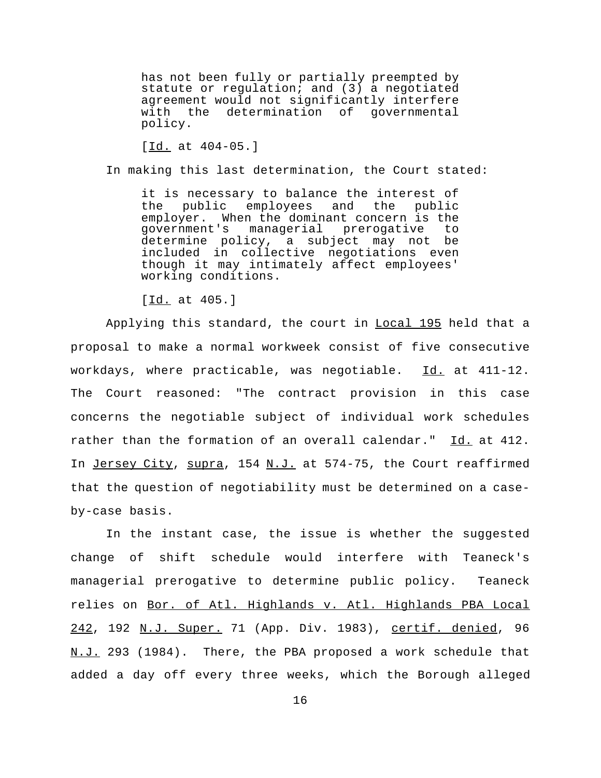has not been fully or partially preempted by statute or regulation; and (3) a negotiated agreement would not significantly interfere<br>with the determination of governmental with the determination of policy.

[Id. at 404-05.]

In making this last determination, the Court stated:

it is necessary to balance the interest of the public employees and the public employer. When the dominant concern is the<br>qovernment's managerial prerogative to managerial prerogative determine policy, a subject may not be included in collective negotiations even though it may intimately affect employees' working conditions.

[Id. at 405.]

Applying this standard, the court in **Local 195** held that a proposal to make a normal workweek consist of five consecutive workdays, where practicable, was negotiable. Id. at 411-12. The Court reasoned: "The contract provision in this case concerns the negotiable subject of individual work schedules rather than the formation of an overall calendar." Id. at 412. In Jersey City, supra, 154 N.J. at 574-75, the Court reaffirmed that the question of negotiability must be determined on a caseby-case basis.

In the instant case, the issue is whether the suggested change of shift schedule would interfere with Teaneck's managerial prerogative to determine public policy. Teaneck relies on Bor. of Atl. Highlands v. Atl. Highlands PBA Local 242, 192 N.J. Super. 71 (App. Div. 1983), certif. denied, 96 N.J. 293 (1984). There, the PBA proposed a work schedule that added a day off every three weeks, which the Borough alleged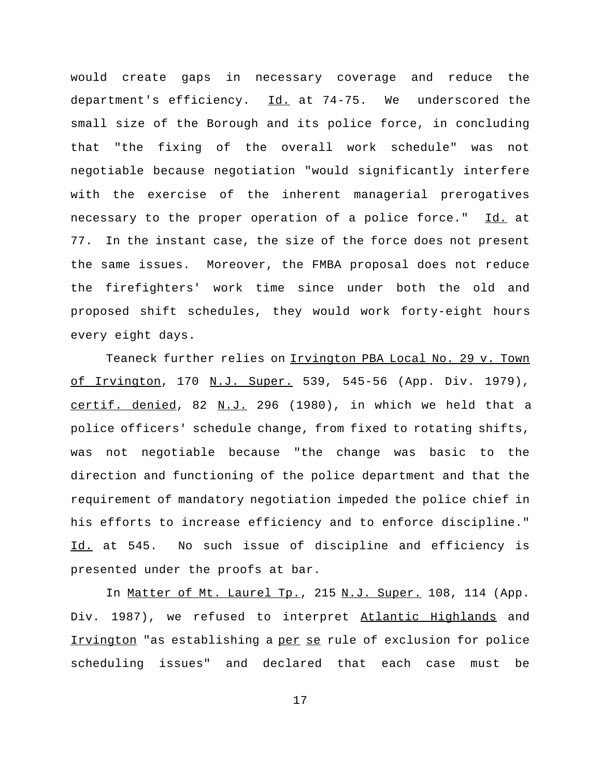would create gaps in necessary coverage and reduce the department's efficiency.  $\underline{Id.}$  at 74-75. We underscored the small size of the Borough and its police force, in concluding that "the fixing of the overall work schedule" was not negotiable because negotiation "would significantly interfere with the exercise of the inherent managerial prerogatives necessary to the proper operation of a police force." Id. at 77. In the instant case, the size of the force does not present the same issues. Moreover, the FMBA proposal does not reduce the firefighters' work time since under both the old and proposed shift schedules, they would work forty-eight hours every eight days.

Teaneck further relies on Irvington PBA Local No. 29 v. Town of Irvington, 170 N.J. Super. 539, 545-56 (App. Div. 1979), certif. denied, 82 N.J. 296 (1980), in which we held that a police officers' schedule change, from fixed to rotating shifts, was not negotiable because "the change was basic to the direction and functioning of the police department and that the requirement of mandatory negotiation impeded the police chief in his efforts to increase efficiency and to enforce discipline." Id. at 545. No such issue of discipline and efficiency is presented under the proofs at bar.

In Matter of Mt. Laurel Tp., 215 N.J. Super. 108, 114 (App. Div. 1987), we refused to interpret Atlantic Highlands and Irvington "as establishing a per se rule of exclusion for police scheduling issues" and declared that each case must be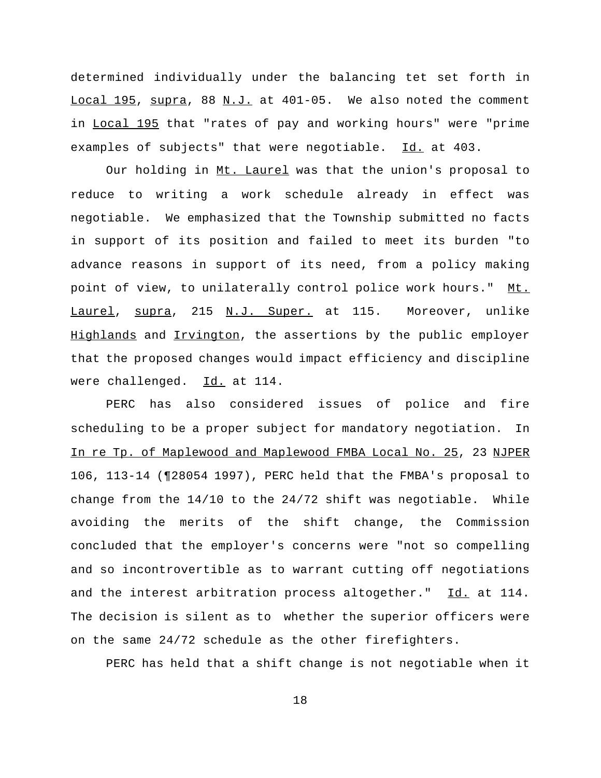determined individually under the balancing tet set forth in Local 195, supra, 88 N.J. at 401-05. We also noted the comment in Local 195 that "rates of pay and working hours" were "prime examples of subjects" that were negotiable. Id. at 403.

Our holding in Mt. Laurel was that the union's proposal to reduce to writing a work schedule already in effect was negotiable. We emphasized that the Township submitted no facts in support of its position and failed to meet its burden "to advance reasons in support of its need, from a policy making point of view, to unilaterally control police work hours." Mt. Laurel, supra, 215 N.J. Super. at 115. Moreover, unlike Highlands and Irvington, the assertions by the public employer that the proposed changes would impact efficiency and discipline were challenged. Id. at 114.

PERC has also considered issues of police and fire scheduling to be a proper subject for mandatory negotiation. In In re Tp. of Maplewood and Maplewood FMBA Local No. 25, 23 NJPER 106, 113-14 (¶28054 1997), PERC held that the FMBA's proposal to change from the  $14/10$  to the  $24/72$  shift was negotiable. While avoiding the merits of the shift change, the Commission concluded that the employer's concerns were "not so compelling and so incontrovertible as to warrant cutting off negotiations and the interest arbitration process altogether." Id. at 114. The decision is silent as to whether the superior officers were on the same 24/72 schedule as the other firefighters.

PERC has held that a shift change is not negotiable when it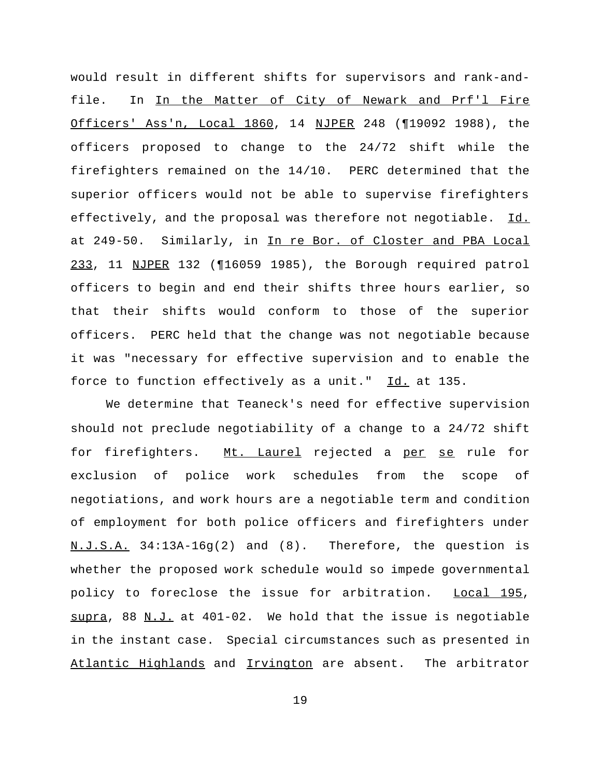would result in different shifts for supervisors and rank-andfile. In In the Matter of City of Newark and Prf'l Fire Officers' Ass'n, Local 1860, 14 NJPER 248 (¶19092 1988), the officers proposed to change to the 24/72 shift while the firefighters remained on the 14/10. PERC determined that the superior officers would not be able to supervise firefighters effectively, and the proposal was therefore not negotiable. Id. at 249-50. Similarly, in In re Bor. of Closter and PBA Local 233, 11 NJPER 132 (¶16059 1985), the Borough required patrol officers to begin and end their shifts three hours earlier, so that their shifts would conform to those of the superior officers. PERC held that the change was not negotiable because it was "necessary for effective supervision and to enable the force to function effectively as a unit." Id. at 135.

We determine that Teaneck's need for effective supervision should not preclude negotiability of a change to a 24/72 shift for firefighters. Mt. Laurel rejected a per se rule for exclusion of police work schedules from the scope of negotiations, and work hours are a negotiable term and condition of employment for both police officers and firefighters under N.J.S.A. 34:13A-16g(2) and (8). Therefore, the question is whether the proposed work schedule would so impede governmental policy to foreclose the issue for arbitration. Local 195,  $\frac{\text{supra}}{\text{supra}}$ , 88 <u>N.J.</u> at 401-02. We hold that the issue is negotiable in the instant case. Special circumstances such as presented in Atlantic Highlands and Irvington are absent. The arbitrator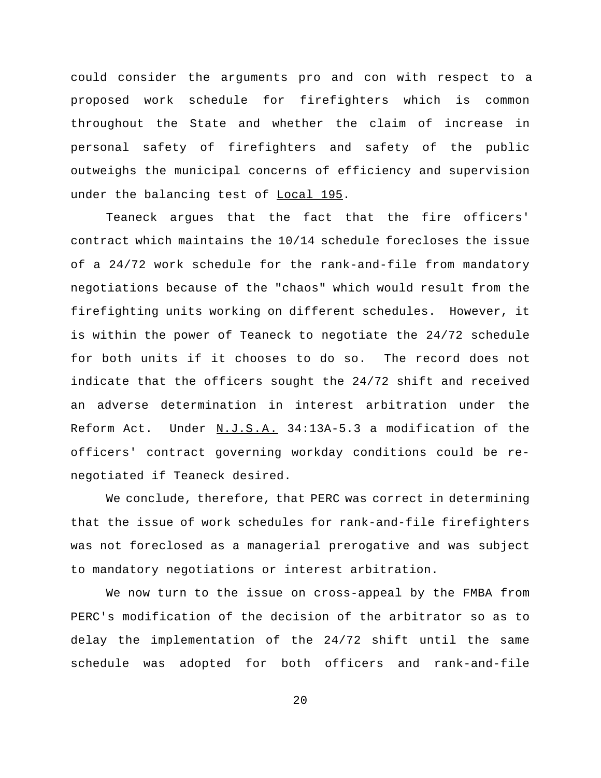could consider the arguments pro and con with respect to a proposed work schedule for firefighters which is common throughout the State and whether the claim of increase in personal safety of firefighters and safety of the public outweighs the municipal concerns of efficiency and supervision under the balancing test of Local 195.

Teaneck argues that the fact that the fire officers' contract which maintains the 10/14 schedule forecloses the issue of a 24/72 work schedule for the rank-and-file from mandatory negotiations because of the "chaos" which would result from the firefighting units working on different schedules. However, it is within the power of Teaneck to negotiate the 24/72 schedule for both units if it chooses to do so. The record does not indicate that the officers sought the 24/72 shift and received an adverse determination in interest arbitration under the Reform Act. Under N.J.S.A. 34:13A-5.3 a modification of the officers' contract governing workday conditions could be renegotiated if Teaneck desired.

We conclude, therefore, that PERC was correct in determining that the issue of work schedules for rank-and-file firefighters was not foreclosed as a managerial prerogative and was subject to mandatory negotiations or interest arbitration.

We now turn to the issue on cross-appeal by the FMBA from PERC's modification of the decision of the arbitrator so as to delay the implementation of the 24/72 shift until the same schedule was adopted for both officers and rank-and-file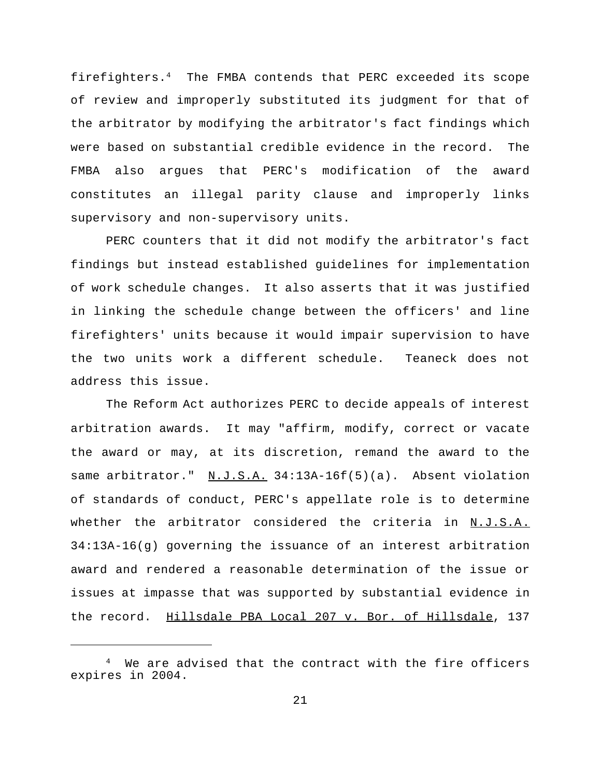firefighters.<sup>4</sup> The FMBA contends that PERC exceeded its scope of review and improperly substituted its judgment for that of the arbitrator by modifying the arbitrator's fact findings which were based on substantial credible evidence in the record. The FMBA also argues that PERC's modification of the award constitutes an illegal parity clause and improperly links supervisory and non-supervisory units.

PERC counters that it did not modify the arbitrator's fact findings but instead established guidelines for implementation of work schedule changes. It also asserts that it was justified in linking the schedule change between the officers' and line firefighters' units because it would impair supervision to have the two units work a different schedule. Teaneck does not address this issue.

The Reform Act authorizes PERC to decide appeals of interest arbitration awards. It may "affirm, modify, correct or vacate the award or may, at its discretion, remand the award to the same arbitrator." N.J.S.A. 34:13A-16f(5)(a). Absent violation of standards of conduct, PERC's appellate role is to determine whether the arbitrator considered the criteria in N.J.S.A. 34:13A-16(g) governing the issuance of an interest arbitration award and rendered a reasonable determination of the issue or issues at impasse that was supported by substantial evidence in the record. Hillsdale PBA Local 207 v. Bor. of Hillsdale, 137

We are advised that the contract with the fire officers expires in 2004.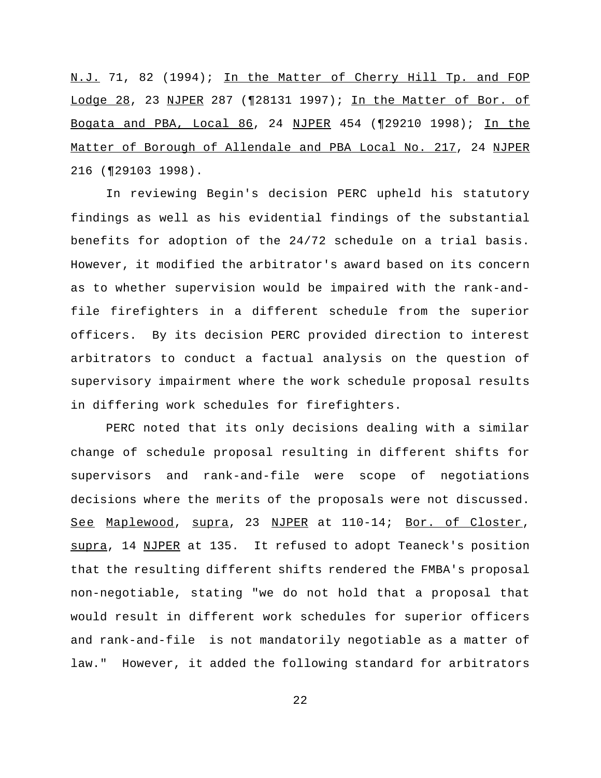N.J. 71, 82 (1994); In the Matter of Cherry Hill Tp. and FOP Lodge 28, 23 NJPER 287 (¶28131 1997); In the Matter of Bor. of Bogata and PBA, Local 86, 24 NJPER 454 (¶29210 1998); In the Matter of Borough of Allendale and PBA Local No. 217, 24 NJPER 216 (¶29103 1998).

In reviewing Begin's decision PERC upheld his statutory findings as well as his evidential findings of the substantial benefits for adoption of the 24/72 schedule on a trial basis. However, it modified the arbitrator's award based on its concern as to whether supervision would be impaired with the rank-andfile firefighters in a different schedule from the superior officers. By its decision PERC provided direction to interest arbitrators to conduct a factual analysis on the question of supervisory impairment where the work schedule proposal results in differing work schedules for firefighters.

PERC noted that its only decisions dealing with a similar change of schedule proposal resulting in different shifts for supervisors and rank-and-file were scope of negotiations decisions where the merits of the proposals were not discussed. See Maplewood, supra, 23 NJPER at 110-14; Bor. of Closter, supra, 14 NJPER at 135. It refused to adopt Teaneck's position that the resulting different shifts rendered the FMBA's proposal non-negotiable, stating "we do not hold that a proposal that would result in different work schedules for superior officers and rank-and-file is not mandatorily negotiable as a matter of law." However, it added the following standard for arbitrators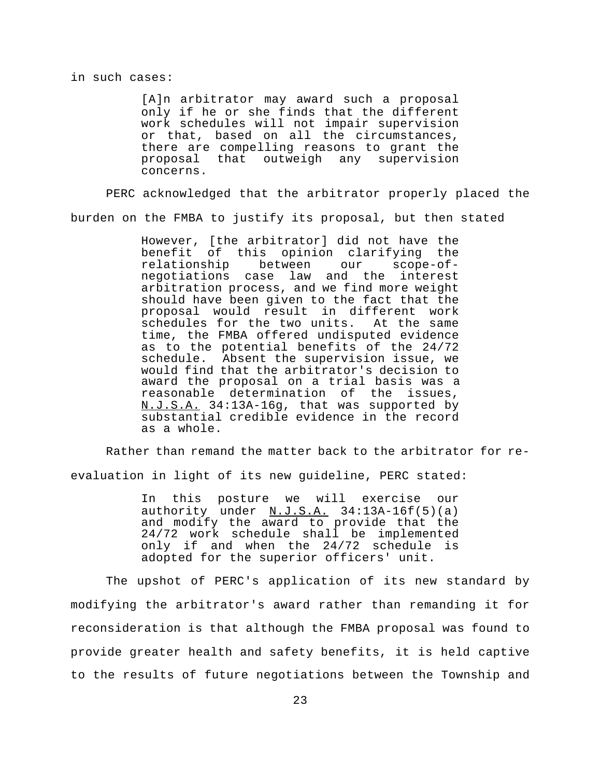## in such cases:

[A]n arbitrator may award such a proposal only if he or she finds that the different work schedules will not impair supervision or that, based on all the circumstances, there are compelling reasons to grant the proposal that outweigh any supervision concerns.

PERC acknowledged that the arbitrator properly placed the burden on the FMBA to justify its proposal, but then stated

> However, [the arbitrator] did not have the benefit of this opinion clarifying the<br>relationship between our scope-ofrelationship between our scope-ofnegotiations case law and the interest arbitration process, and we find more weight should have been given to the fact that the proposal would result in different work<br>schedules for the two units. At the same schedules for the two units. time, the FMBA offered undisputed evidence as to the potential benefits of the 24/72 schedule. Absent the supervision issue, we would find that the arbitrator's decision to award the proposal on a trial basis was a reasonable determination of the issues, N.J.S.A. 34:13A-16g, that was supported by substantial credible evidence in the record as a whole.

Rather than remand the matter back to the arbitrator for reevaluation in light of its new guideline, PERC stated:

> In this posture we will exercise our authority under  $M.J.S.A.$  34:13A-16f(5)(a) and modify the award to provide that the 24/72 work schedule shall be implemented only if and when the 24/72 schedule is adopted for the superior officers' unit.

The upshot of PERC's application of its new standard by modifying the arbitrator's award rather than remanding it for reconsideration is that although the FMBA proposal was found to provide greater health and safety benefits, it is held captive to the results of future negotiations between the Township and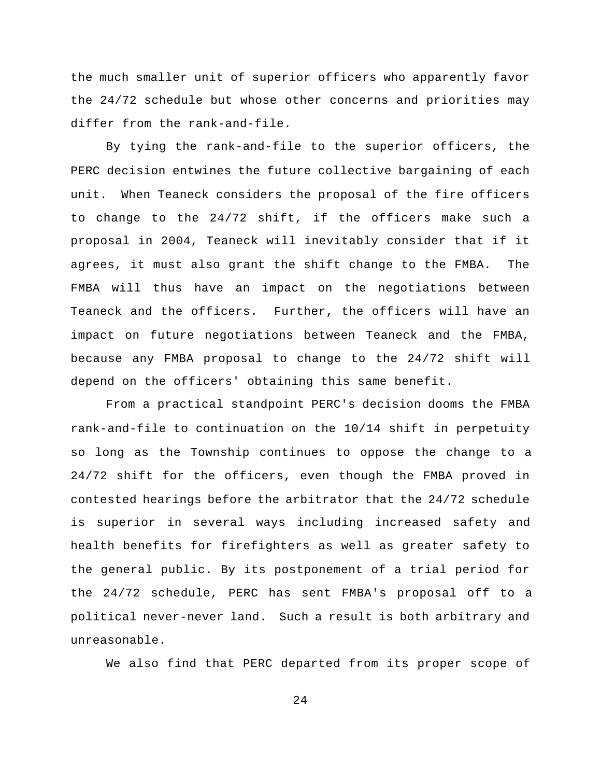the much smaller unit of superior officers who apparently favor the 24/72 schedule but whose other concerns and priorities may differ from the rank-and-file.

By tying the rank-and-file to the superior officers, the PERC decision entwines the future collective bargaining of each unit. When Teaneck considers the proposal of the fire officers to change to the 24/72 shift, if the officers make such a proposal in 2004, Teaneck will inevitably consider that if it agrees, it must also grant the shift change to the FMBA. The FMBA will thus have an impact on the negotiations between Teaneck and the officers. Further, the officers will have an impact on future negotiations between Teaneck and the FMBA, because any FMBA proposal to change to the 24/72 shift will depend on the officers' obtaining this same benefit.

From a practical standpoint PERC's decision dooms the FMBA rank-and-file to continuation on the 10/14 shift in perpetuity so long as the Township continues to oppose the change to a 24/72 shift for the officers, even though the FMBA proved in contested hearings before the arbitrator that the 24/72 schedule is superior in several ways including increased safety and health benefits for firefighters as well as greater safety to the general public. By its postponement of a trial period for the 24/72 schedule, PERC has sent FMBA's proposal off to a political never-never land. Such a result is both arbitrary and unreasonable.

We also find that PERC departed from its proper scope of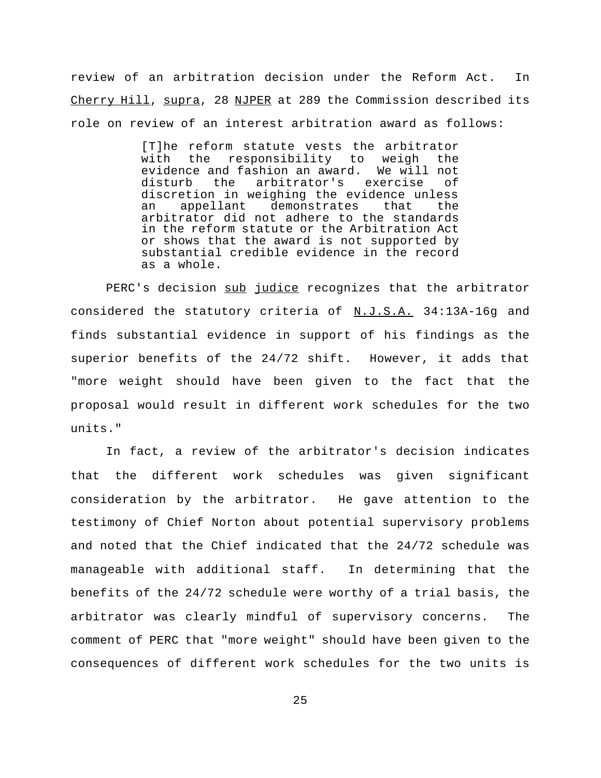review of an arbitration decision under the Reform Act. In Cherry Hill, supra, 28 NJPER at 289 the Commission described its role on review of an interest arbitration award as follows:

> [T]he reform statute vests the arbitrator with the responsibility to weigh the evidence and fashion an award. We will not disturb the arbitrator's exercise of discretion in weighing the evidence unless<br>an appellant demonstrates that the an appellant demonstrates that the arbitrator did not adhere to the standards in the reform statute or the Arbitration Act or shows that the award is not supported by substantial credible evidence in the record as a whole.

PERC's decision sub judice recognizes that the arbitrator considered the statutory criteria of N.J.S.A. 34:13A-16g and finds substantial evidence in support of his findings as the superior benefits of the 24/72 shift. However, it adds that "more weight should have been given to the fact that the proposal would result in different work schedules for the two units."

In fact, a review of the arbitrator's decision indicates that the different work schedules was given significant consideration by the arbitrator. He gave attention to the testimony of Chief Norton about potential supervisory problems and noted that the Chief indicated that the 24/72 schedule was manageable with additional staff. In determining that the benefits of the 24/72 schedule were worthy of a trial basis, the arbitrator was clearly mindful of supervisory concerns. The comment of PERC that "more weight" should have been given to the consequences of different work schedules for the two units is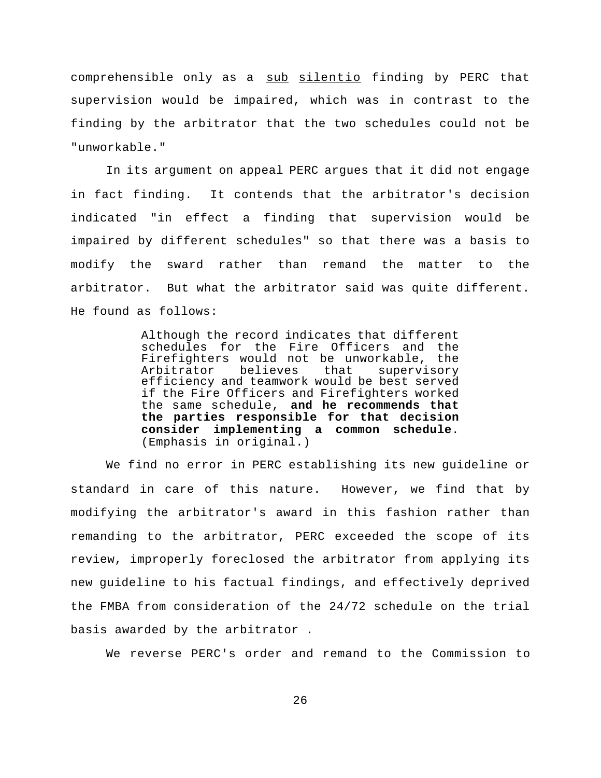comprehensible only as a sub silentio finding by PERC that supervision would be impaired, which was in contrast to the finding by the arbitrator that the two schedules could not be "unworkable."

In its argument on appeal PERC argues that it did not engage in fact finding. It contends that the arbitrator's decision indicated "in effect a finding that supervision would be impaired by different schedules" so that there was a basis to modify the sward rather than remand the matter to the arbitrator. But what the arbitrator said was quite different. He found as follows:

> Although the record indicates that different schedules for the Fire Officers and the Firefighters would not be unworkable, the Arbitrator believes that supervisory efficiency and teamwork would be best served if the Fire Officers and Firefighters worked the same schedule, **and he recommends that the parties responsible for that decision consider implementing a common schedule**. (Emphasis in original.)

We find no error in PERC establishing its new guideline or standard in care of this nature. However, we find that by modifying the arbitrator's award in this fashion rather than remanding to the arbitrator, PERC exceeded the scope of its review, improperly foreclosed the arbitrator from applying its new guideline to his factual findings, and effectively deprived the FMBA from consideration of the 24/72 schedule on the trial basis awarded by the arbitrator .

We reverse PERC's order and remand to the Commission to